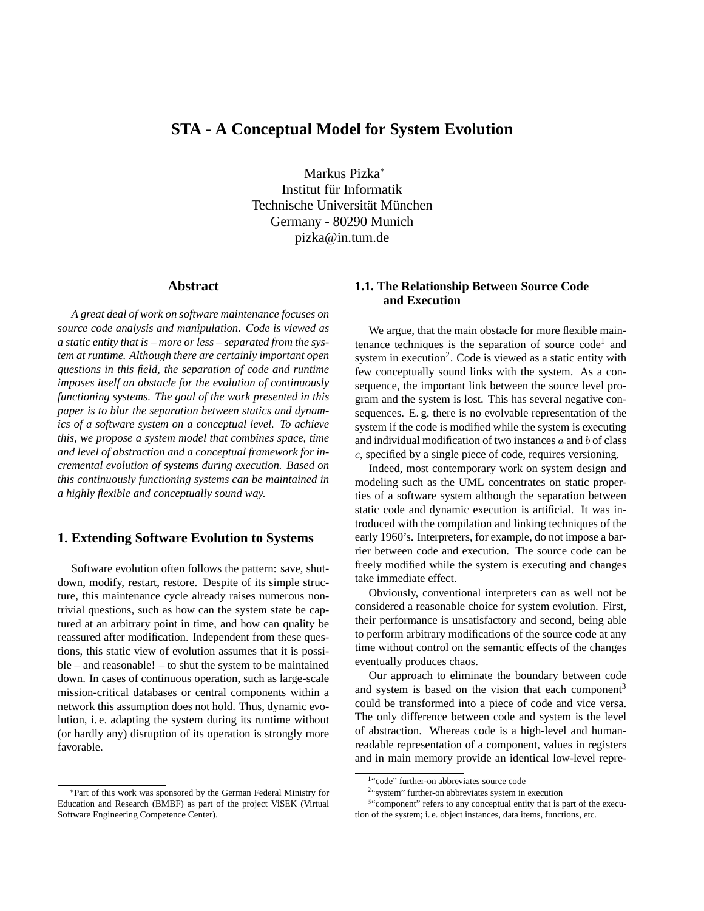Markus Pizka<sup>∗</sup> Institut für Informatik Technische Universität München Germany - 80290 Munich pizka@in.tum.de

## **Abstract**

*A great deal of work on software maintenance focuses on source code analysis and manipulation. Code is viewed as a static entity that is – more or less – separated from the system at runtime. Although there are certainly important open questions in this field, the separation of code and runtime imposes itself an obstacle for the evolution of continuously functioning systems. The goal of the work presented in this paper is to blur the separation between statics and dynamics of a software system on a conceptual level. To achieve this, we propose a system model that combines space, time and level of abstraction and a conceptual framework for incremental evolution of systems during execution. Based on this continuously functioning systems can be maintained in a highly flexible and conceptually sound way.*

## **1. Extending Software Evolution to Systems**

Software evolution often follows the pattern: save, shutdown, modify, restart, restore. Despite of its simple structure, this maintenance cycle already raises numerous nontrivial questions, such as how can the system state be captured at an arbitrary point in time, and how can quality be reassured after modification. Independent from these questions, this static view of evolution assumes that it is possible – and reasonable! – to shut the system to be maintained down. In cases of continuous operation, such as large-scale mission-critical databases or central components within a network this assumption does not hold. Thus, dynamic evolution, i. e. adapting the system during its runtime without (or hardly any) disruption of its operation is strongly more favorable.

# **1.1. The Relationship Between Source Code and Execution**

We argue, that the main obstacle for more flexible maintenance techniques is the separation of source code<sup>1</sup> and system in execution<sup>2</sup>. Code is viewed as a static entity with few conceptually sound links with the system. As a consequence, the important link between the source level program and the system is lost. This has several negative consequences. E. g. there is no evolvable representation of the system if the code is modified while the system is executing and individual modification of two instances  $a$  and  $b$  of class c, specified by a single piece of code, requires versioning.

Indeed, most contemporary work on system design and modeling such as the UML concentrates on static properties of a software system although the separation between static code and dynamic execution is artificial. It was introduced with the compilation and linking techniques of the early 1960's. Interpreters, for example, do not impose a barrier between code and execution. The source code can be freely modified while the system is executing and changes take immediate effect.

Obviously, conventional interpreters can as well not be considered a reasonable choice for system evolution. First, their performance is unsatisfactory and second, being able to perform arbitrary modifications of the source code at any time without control on the semantic effects of the changes eventually produces chaos.

Our approach to eliminate the boundary between code and system is based on the vision that each component<sup>3</sup> could be transformed into a piece of code and vice versa. The only difference between code and system is the level of abstraction. Whereas code is a high-level and humanreadable representation of a component, values in registers and in main memory provide an identical low-level repre-

<sup>∗</sup>Part of this work was sponsored by the German Federal Ministry for Education and Research (BMBF) as part of the project ViSEK (Virtual Software Engineering Competence Center).

<sup>&</sup>lt;sup>1</sup>"code" further-on abbreviates source code

<sup>&</sup>lt;sup>2</sup>"system" further-on abbreviates system in execution

<sup>&</sup>lt;sup>3</sup>"component" refers to any conceptual entity that is part of the execution of the system; i. e. object instances, data items, functions, etc.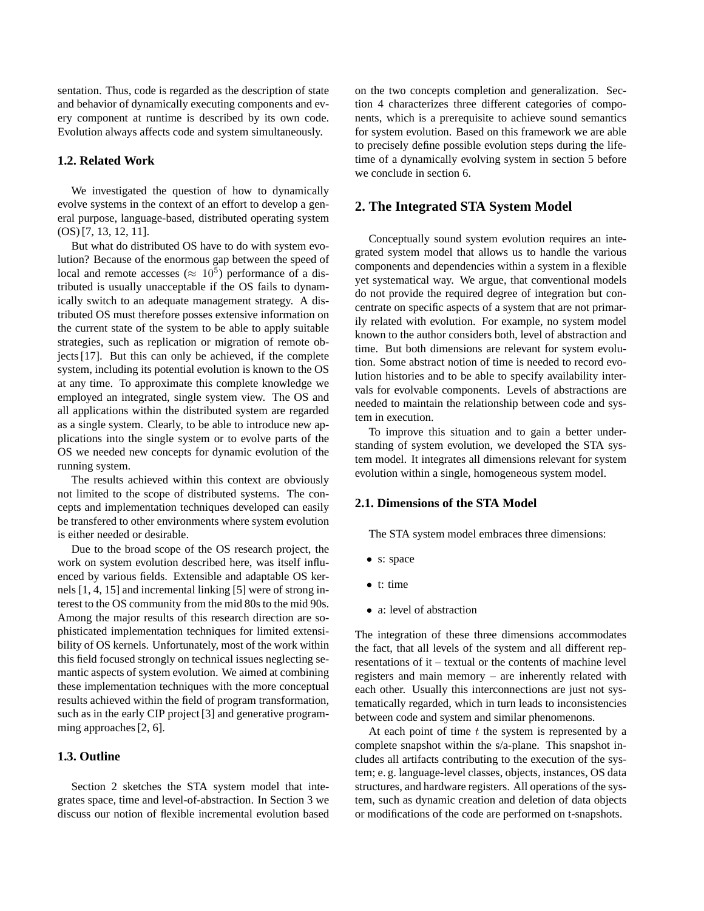sentation. Thus, code is regarded as the description of state and behavior of dynamically executing components and every component at runtime is described by its own code. Evolution always affects code and system simultaneously.

#### **1.2. Related Work**

We investigated the question of how to dynamically evolve systems in the context of an effort to develop a general purpose, language-based, distributed operating system (OS) [7, 13, 12, 11].

But what do distributed OS have to do with system evolution? Because of the enormous gap between the speed of local and remote accesses ( $\approx 10^5$ ) performance of a distributed is usually unacceptable if the OS fails to dynamically switch to an adequate management strategy. A distributed OS must therefore posses extensive information on the current state of the system to be able to apply suitable strategies, such as replication or migration of remote objects [17]. But this can only be achieved, if the complete system, including its potential evolution is known to the OS at any time. To approximate this complete knowledge we employed an integrated, single system view. The OS and all applications within the distributed system are regarded as a single system. Clearly, to be able to introduce new applications into the single system or to evolve parts of the OS we needed new concepts for dynamic evolution of the running system.

The results achieved within this context are obviously not limited to the scope of distributed systems. The concepts and implementation techniques developed can easily be transfered to other environments where system evolution is either needed or desirable.

Due to the broad scope of the OS research project, the work on system evolution described here, was itself influenced by various fields. Extensible and adaptable OS kernels [1, 4, 15] and incremental linking [5] were of strong interest to the OS community from the mid 80s to the mid 90s. Among the major results of this research direction are sophisticated implementation techniques for limited extensibility of OS kernels. Unfortunately, most of the work within this field focused strongly on technical issues neglecting semantic aspects of system evolution. We aimed at combining these implementation techniques with the more conceptual results achieved within the field of program transformation, such as in the early CIP project [3] and generative programming approaches [2, 6].

### **1.3. Outline**

Section 2 sketches the STA system model that integrates space, time and level-of-abstraction. In Section 3 we discuss our notion of flexible incremental evolution based on the two concepts completion and generalization. Section 4 characterizes three different categories of components, which is a prerequisite to achieve sound semantics for system evolution. Based on this framework we are able to precisely define possible evolution steps during the lifetime of a dynamically evolving system in section 5 before we conclude in section 6.

### **2. The Integrated STA System Model**

Conceptually sound system evolution requires an integrated system model that allows us to handle the various components and dependencies within a system in a flexible yet systematical way. We argue, that conventional models do not provide the required degree of integration but concentrate on specific aspects of a system that are not primarily related with evolution. For example, no system model known to the author considers both, level of abstraction and time. But both dimensions are relevant for system evolution. Some abstract notion of time is needed to record evolution histories and to be able to specify availability intervals for evolvable components. Levels of abstractions are needed to maintain the relationship between code and system in execution.

To improve this situation and to gain a better understanding of system evolution, we developed the STA system model. It integrates all dimensions relevant for system evolution within a single, homogeneous system model.

### **2.1. Dimensions of the STA Model**

The STA system model embraces three dimensions:

- s: space
- t: time
- a: level of abstraction

The integration of these three dimensions accommodates the fact, that all levels of the system and all different representations of it – textual or the contents of machine level registers and main memory – are inherently related with each other. Usually this interconnections are just not systematically regarded, which in turn leads to inconsistencies between code and system and similar phenomenons.

At each point of time  $t$  the system is represented by a complete snapshot within the s/a-plane. This snapshot includes all artifacts contributing to the execution of the system; e. g. language-level classes, objects, instances, OS data structures, and hardware registers. All operations of the system, such as dynamic creation and deletion of data objects or modifications of the code are performed on t-snapshots.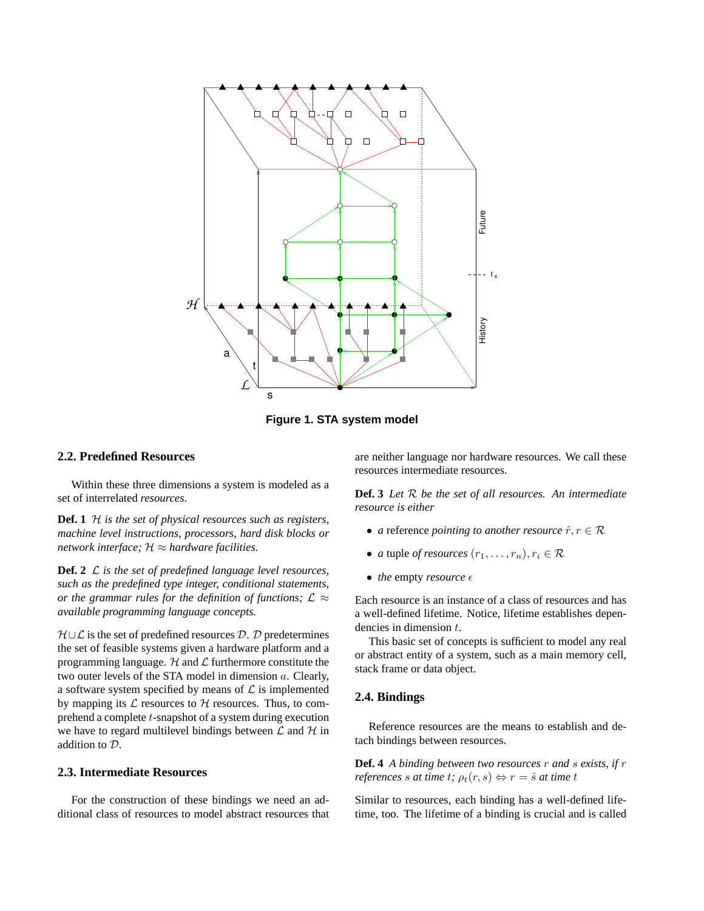

**Figure 1. STA system model**

# **2.2. Predefined Resources**

Within these three dimensions a system is modeled as a set of interrelated *resources*.

**Def. 1** H *is the set of physical resources such as registers, machine level instructions, processors, hard disk blocks or network interface;*  $H \approx$  *hardware facilities.* 

**Def. 2** L *is the set of predefined language level resources, such as the predefined type integer, conditional statements, or the grammar rules for the definition of functions;*  $\mathcal{L} \approx$ *available programming language concepts.*

 $H\cup\mathcal{L}$  is the set of predefined resources  $\mathcal{D}$ .  $\mathcal{D}$  predetermines the set of feasible systems given a hardware platform and a programming language.  $H$  and  $L$  furthermore constitute the two outer levels of the STA model in dimension a. Clearly, a software system specified by means of  $\mathcal L$  is implemented by mapping its  $\mathcal L$  resources to  $\mathcal H$  resources. Thus, to comprehend a complete t-snapshot of a system during execution we have to regard multilevel bindings between  $\mathcal L$  and  $\mathcal H$  in addition to D.

## **2.3. Intermediate Resources**

For the construction of these bindings we need an additional class of resources to model abstract resources that are neither language nor hardware resources. We call these resources intermediate resources.

**Def. 3** *Let* R *be the set of all resources. An intermediate resource is either*

- *a* reference *pointing to another resource*  $\hat{r}, r \in \mathcal{R}$
- *a* tuple *of resources*  $(r_1, \ldots, r_n), r_i \in \mathcal{R}$
- *the* empty *resource*  $\epsilon$

Each resource is an instance of a class of resources and has a well-defined lifetime. Notice, lifetime establishes dependencies in dimension  $t$ .

This basic set of concepts is sufficient to model any real or abstract entity of a system, such as a main memory cell, stack frame or data object.

#### **2.4. Bindings**

Reference resources are the means to establish and detach bindings between resources.

**Def. 4** *A binding between two resources* r *and* s *exists, if* r *references s at time t;*  $\rho_t(r, s) \Leftrightarrow r = \hat{s}$  *at time t* 

Similar to resources, each binding has a well-defined lifetime, too. The lifetime of a binding is crucial and is called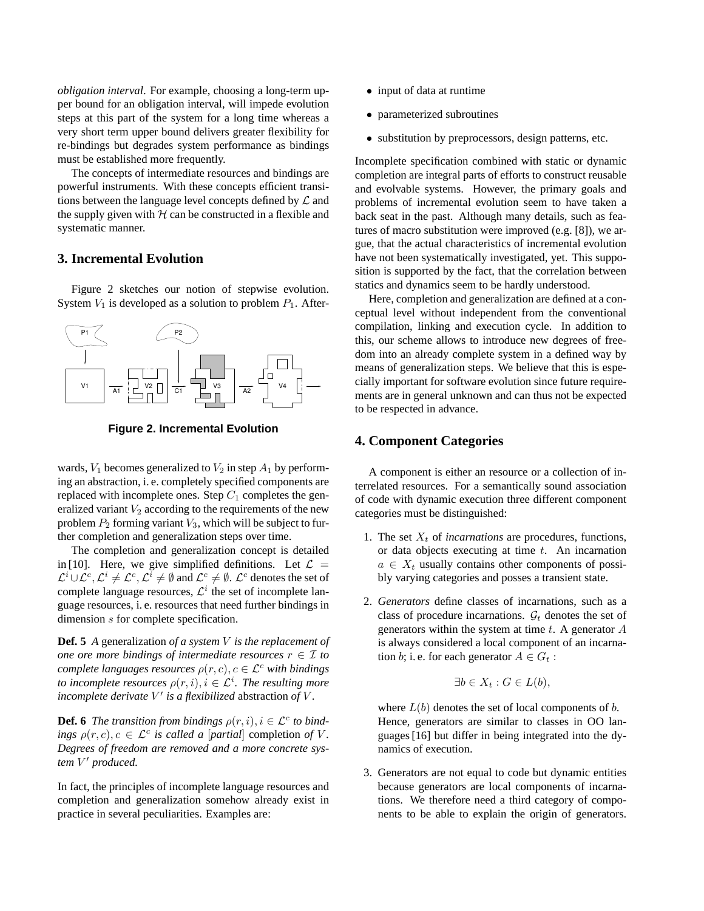*obligation interval*. For example, choosing a long-term upper bound for an obligation interval, will impede evolution steps at this part of the system for a long time whereas a very short term upper bound delivers greater flexibility for re-bindings but degrades system performance as bindings must be established more frequently.

The concepts of intermediate resources and bindings are powerful instruments. With these concepts efficient transitions between the language level concepts defined by  $\mathcal L$  and the supply given with  $H$  can be constructed in a flexible and systematic manner.

# **3. Incremental Evolution**

Figure 2 sketches our notion of stepwise evolution. System  $V_1$  is developed as a solution to problem  $P_1$ . After-



**Figure 2. Incremental Evolution**

wards,  $V_1$  becomes generalized to  $V_2$  in step  $A_1$  by performing an abstraction, i. e. completely specified components are replaced with incomplete ones. Step  $C_1$  completes the generalized variant  $V_2$  according to the requirements of the new problem  $P_2$  forming variant  $V_3$ , which will be subject to further completion and generalization steps over time.

The completion and generalization concept is detailed in [10]. Here, we give simplified definitions. Let  $\mathcal{L} =$  $\mathcal{L}^i\cup\mathcal{L}^c,\mathcal{L}^i\neq\mathcal{L}^c,\mathcal{L}^i\neq\emptyset$  and  $\mathcal{L}^c\neq\emptyset.$   $\mathcal{L}^c$  denotes the set of complete language resources,  $\mathcal{L}^i$  the set of incomplete language resources, i. e. resources that need further bindings in dimension s for complete specification.

**Def. 5** *A* generalization *of a system* V *is the replacement of one ore more bindings of intermediate resources*  $r \in \mathcal{I}$  *to complete languages resources*  $\rho(r, c)$ ,  $c \in \mathcal{L}^c$  *with bindings to incomplete resources*  $\rho(r, i), i \in \mathcal{L}^i$ . The resulting more *incomplete derivate*  $V'$  *is a flexibilized* abstraction *of*  $V$ *.* 

**Def. 6** *The transition from bindings*  $\rho(r, i), i \in \mathcal{L}^c$  to bind*ings*  $\rho(r, c), c \in \mathcal{L}^c$  *is called a [partial]* completion *of V*. *Degrees of freedom are removed and a more concrete system* V <sup>0</sup> *produced.*

In fact, the principles of incomplete language resources and completion and generalization somehow already exist in practice in several peculiarities. Examples are:

- input of data at runtime
- parameterized subroutines
- substitution by preprocessors, design patterns, etc.

Incomplete specification combined with static or dynamic completion are integral parts of efforts to construct reusable and evolvable systems. However, the primary goals and problems of incremental evolution seem to have taken a back seat in the past. Although many details, such as features of macro substitution were improved (e.g. [8]), we argue, that the actual characteristics of incremental evolution have not been systematically investigated, yet. This supposition is supported by the fact, that the correlation between statics and dynamics seem to be hardly understood.

Here, completion and generalization are defined at a conceptual level without independent from the conventional compilation, linking and execution cycle. In addition to this, our scheme allows to introduce new degrees of freedom into an already complete system in a defined way by means of generalization steps. We believe that this is especially important for software evolution since future requirements are in general unknown and can thus not be expected to be respected in advance.

## **4. Component Categories**

A component is either an resource or a collection of interrelated resources. For a semantically sound association of code with dynamic execution three different component categories must be distinguished:

- 1. The set  $X_t$  of *incarnations* are procedures, functions, or data objects executing at time  $t$ . An incarnation  $a \in X_t$  usually contains other components of possibly varying categories and posses a transient state.
- 2. *Generators* define classes of incarnations, such as a class of procedure incarnations.  $\mathcal{G}_t$  denotes the set of generators within the system at time  $t$ . A generator  $A$ is always considered a local component of an incarnation *b*; i. e. for each generator  $A \in G_t$ :

$$
\exists b \in X_t : G \in L(b),
$$

where  $L(b)$  denotes the set of local components of b. Hence, generators are similar to classes in OO languages [16] but differ in being integrated into the dynamics of execution.

3. Generators are not equal to code but dynamic entities because generators are local components of incarnations. We therefore need a third category of components to be able to explain the origin of generators.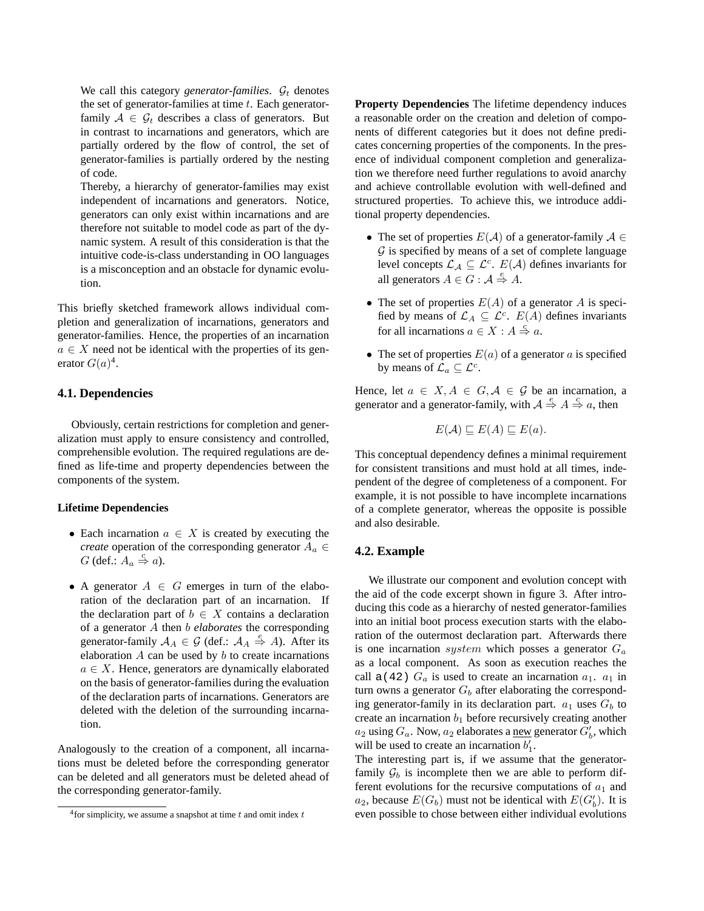We call this category *generator-families*.  $G_t$  denotes the set of generator-families at time  $t$ . Each generatorfamily  $A \in \mathcal{G}_t$  describes a class of generators. But in contrast to incarnations and generators, which are partially ordered by the flow of control, the set of generator-families is partially ordered by the nesting of code.

Thereby, a hierarchy of generator-families may exist independent of incarnations and generators. Notice, generators can only exist within incarnations and are therefore not suitable to model code as part of the dynamic system. A result of this consideration is that the intuitive code-is-class understanding in OO languages is a misconception and an obstacle for dynamic evolution.

This briefly sketched framework allows individual completion and generalization of incarnations, generators and generator-families. Hence, the properties of an incarnation  $a \in X$  need not be identical with the properties of its generator  $G(a)^4$ .

### **4.1. Dependencies**

Obviously, certain restrictions for completion and generalization must apply to ensure consistency and controlled, comprehensible evolution. The required regulations are defined as life-time and property dependencies between the components of the system.

#### **Lifetime Dependencies**

- Each incarnation  $a \in X$  is created by executing the *create* operation of the corresponding generator  $A_a \in$ G (def.:  $A_a \stackrel{c}{\Rightarrow} a$ ).
- A generator  $A \in G$  emerges in turn of the elaboration of the declaration part of an incarnation. If the declaration part of  $b \in X$  contains a declaration of a generator A then b *elaborates* the corresponding generator-family  $A_A \in \mathcal{G}$  (def.:  $A_A \stackrel{e}{\Rightarrow} A$ ). After its elaboration  $A$  can be used by  $b$  to create incarnations  $a \in X$ . Hence, generators are dynamically elaborated on the basis of generator-families during the evaluation of the declaration parts of incarnations. Generators are deleted with the deletion of the surrounding incarnation.

Analogously to the creation of a component, all incarnations must be deleted before the corresponding generator can be deleted and all generators must be deleted ahead of the corresponding generator-family.

**Property Dependencies** The lifetime dependency induces a reasonable order on the creation and deletion of components of different categories but it does not define predicates concerning properties of the components. In the presence of individual component completion and generalization we therefore need further regulations to avoid anarchy and achieve controllable evolution with well-defined and structured properties. To achieve this, we introduce additional property dependencies.

- The set of properties  $E(\mathcal{A})$  of a generator-family  $\mathcal{A} \in$  $G$  is specified by means of a set of complete language level concepts  $\mathcal{L}_{\mathcal{A}} \subseteq \mathcal{L}^c$ .  $E(\mathcal{A})$  defines invariants for all generators  $A \in G : \mathcal{A} \stackrel{e}{\Rightarrow} A$ .
- The set of properties  $E(A)$  of a generator A is specified by means of  $\mathcal{L}_A \subseteq \mathcal{L}^c$ .  $E(A)$  defines invariants for all incarnations  $a \in X : A \stackrel{c}{\Rightarrow} a$ .
- The set of properties  $E(a)$  of a generator a is specified by means of  $\mathcal{L}_a \subseteq \mathcal{L}^c$ .

Hence, let  $a \in X$ ,  $A \in G$ ,  $A \in \mathcal{G}$  be an incarnation, a generator and a generator-family, with  $A \stackrel{e}{\Rightarrow} A \stackrel{c}{\Rightarrow} a$ , then

$$
E(\mathcal{A}) \sqsubseteq E(A) \sqsubseteq E(a).
$$

This conceptual dependency defines a minimal requirement for consistent transitions and must hold at all times, independent of the degree of completeness of a component. For example, it is not possible to have incomplete incarnations of a complete generator, whereas the opposite is possible and also desirable.

#### **4.2. Example**

We illustrate our component and evolution concept with the aid of the code excerpt shown in figure 3. After introducing this code as a hierarchy of nested generator-families into an initial boot process execution starts with the elaboration of the outermost declaration part. Afterwards there is one incarnation *system* which posses a generator  $G_a$ as a local component. As soon as execution reaches the call  $a(42)$   $G_a$  is used to create an incarnation  $a_1$ .  $a_1$  in turn owns a generator  $G_b$  after elaborating the corresponding generator-family in its declaration part.  $a_1$  uses  $G_b$  to create an incarnation  $b_1$  before recursively creating another  $a_2$  using  $G_a$ . Now,  $a_2$  elaborates a <u>new</u> generator  $G'_b$ , which will be used to create an incarnation  $b'_1$ .

The interesting part is, if we assume that the generatorfamily  $\mathcal{G}_b$  is incomplete then we are able to perform different evolutions for the recursive computations of  $a_1$  and  $a_2$ , because  $E(G_b)$  must not be identical with  $E(G'_b)$ . It is even possible to chose between either individual evolutions

<sup>&</sup>lt;sup>4</sup> for simplicity, we assume a snapshot at time  $t$  and omit index  $t$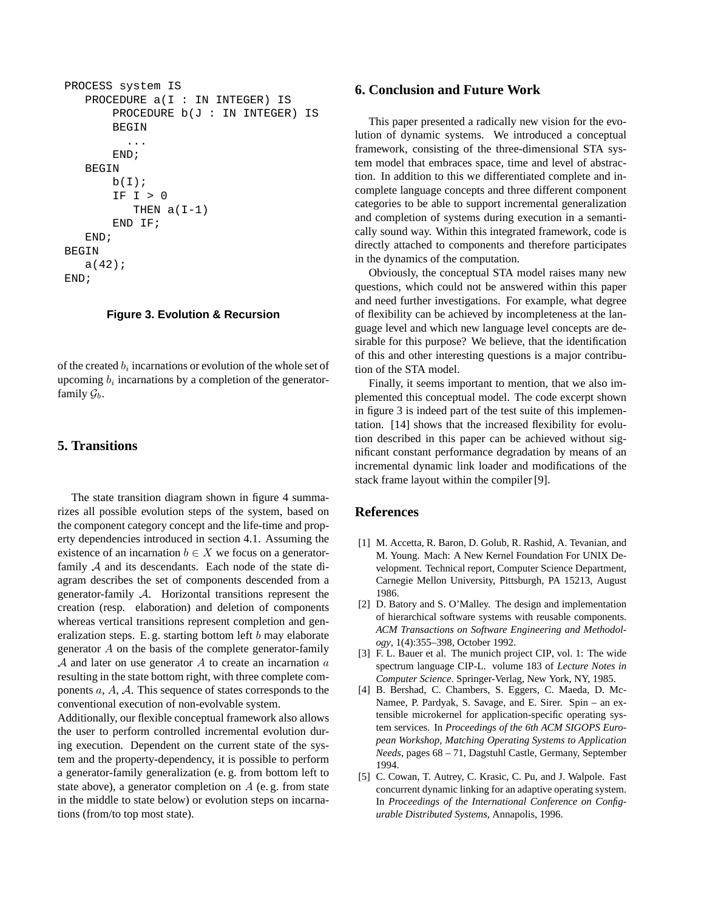```
PROCESS system IS
   PROCEDURE a(I : IN INTEGER) IS
       PROCEDURE b(J : IN INTEGER) IS
       BEGIN
         ...
       END;
   BEGIN
       b(I);IF I > 0
          THEN a(I-1)END IF;
   END;
BEGIN
   a(42);
END;
```
#### **Figure 3. Evolution & Recursion**

of the created  $b_i$  incarnations or evolution of the whole set of upcoming  $b_i$  incarnations by a completion of the generatorfamily  $\mathcal{G}_b$ .

# **5. Transitions**

The state transition diagram shown in figure 4 summarizes all possible evolution steps of the system, based on the component category concept and the life-time and property dependencies introduced in section 4.1. Assuming the existence of an incarnation  $b \in X$  we focus on a generatorfamily A and its descendants. Each node of the state diagram describes the set of components descended from a generator-family A. Horizontal transitions represent the creation (resp. elaboration) and deletion of components whereas vertical transitions represent completion and generalization steps. E. g. starting bottom left  $b$  may elaborate generator A on the basis of the complete generator-family  $A$  and later on use generator  $A$  to create an incarnation  $a$ resulting in the state bottom right, with three complete components a, A, A. This sequence of states corresponds to the conventional execution of non-evolvable system.

Additionally, our flexible conceptual framework also allows the user to perform controlled incremental evolution during execution. Dependent on the current state of the system and the property-dependency, it is possible to perform a generator-family generalization (e. g. from bottom left to state above), a generator completion on  $A$  (e.g. from state in the middle to state below) or evolution steps on incarnations (from/to top most state).

# **6. Conclusion and Future Work**

This paper presented a radically new vision for the evolution of dynamic systems. We introduced a conceptual framework, consisting of the three-dimensional STA system model that embraces space, time and level of abstraction. In addition to this we differentiated complete and incomplete language concepts and three different component categories to be able to support incremental generalization and completion of systems during execution in a semantically sound way. Within this integrated framework, code is directly attached to components and therefore participates in the dynamics of the computation.

Obviously, the conceptual STA model raises many new questions, which could not be answered within this paper and need further investigations. For example, what degree of flexibility can be achieved by incompleteness at the language level and which new language level concepts are desirable for this purpose? We believe, that the identification of this and other interesting questions is a major contribution of the STA model.

Finally, it seems important to mention, that we also implemented this conceptual model. The code excerpt shown in figure 3 is indeed part of the test suite of this implementation. [14] shows that the increased flexibility for evolution described in this paper can be achieved without significant constant performance degradation by means of an incremental dynamic link loader and modifications of the stack frame layout within the compiler [9].

### **References**

- [1] M. Accetta, R. Baron, D. Golub, R. Rashid, A. Tevanian, and M. Young. Mach: A New Kernel Foundation For UNIX Development. Technical report, Computer Science Department, Carnegie Mellon University, Pittsburgh, PA 15213, August 1986.
- [2] D. Batory and S. O'Malley. The design and implementation of hierarchical software systems with reusable components. *ACM Transactions on Software Engineering and Methodology*, 1(4):355–398, October 1992.
- [3] F. L. Bauer et al. The munich project CIP, vol. 1: The wide spectrum language CIP-L. volume 183 of *Lecture Notes in Computer Science*. Springer-Verlag, New York, NY, 1985.
- [4] B. Bershad, C. Chambers, S. Eggers, C. Maeda, D. Mc-Namee, P. Pardyak, S. Savage, and E. Sirer. Spin – an extensible microkernel for application-specific operating system services. In *Proceedings of the 6th ACM SIGOPS European Workshop, Matching Operating Systems to Application Needs*, pages 68 – 71, Dagstuhl Castle, Germany, September 1994.
- [5] C. Cowan, T. Autrey, C. Krasic, C. Pu, and J. Walpole. Fast concurrent dynamic linking for an adaptive operating system. In *Proceedings of the International Conference on Configurable Distributed Systems*, Annapolis, 1996.